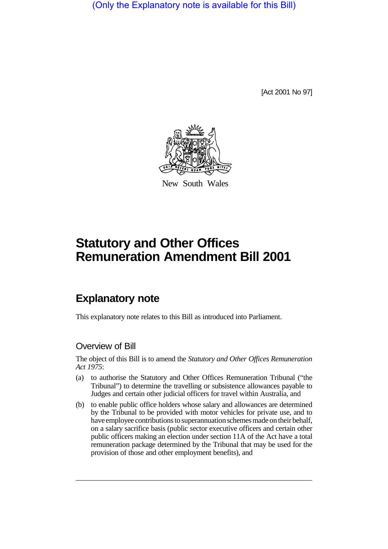(Only the Explanatory note is available for this Bill)

[Act 2001 No 97]



New South Wales

## **Statutory and Other Offices Remuneration Amendment Bill 2001**

## **Explanatory note**

This explanatory note relates to this Bill as introduced into Parliament.

## Overview of Bill

The object of this Bill is to amend the *Statutory and Other Offices Remuneration Act 1975*:

- (a) to authorise the Statutory and Other Offices Remuneration Tribunal ("the Tribunal") to determine the travelling or subsistence allowances payable to Judges and certain other judicial officers for travel within Australia, and
- (b) to enable public office holders whose salary and allowances are determined by the Tribunal to be provided with motor vehicles for private use, and to have employee contributions to superannuation schemes made on their behalf, on a salary sacrifice basis (public sector executive officers and certain other public officers making an election under section 11A of the Act have a total remuneration package determined by the Tribunal that may be used for the provision of those and other employment benefits), and